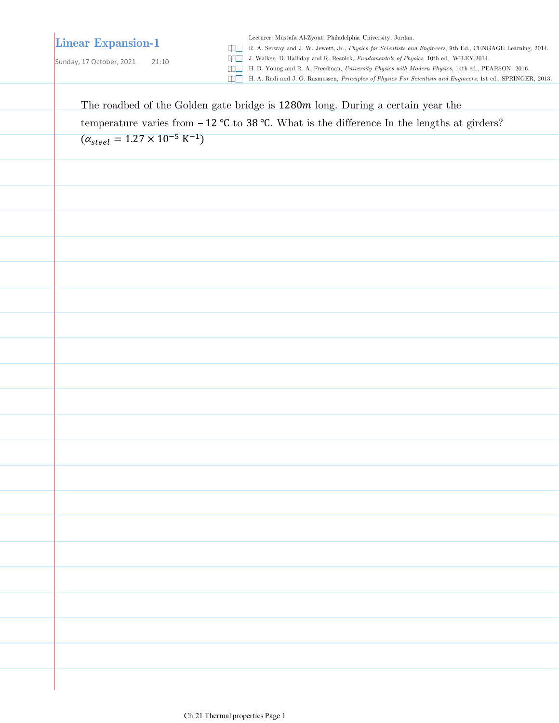## **Linear Expansion-1**

Sunday, 17 October, 2021 21:10

Lecturer: Mustafa Al-Zyout, Philadelphia University, Jordan.

R. A. Serway and J. W. Jewett, Jr., *Physics for Scientists and Engineers*, 9th Ed., CENGAGE Learning, 2014.

J. Walker, D. Halliday and R. Resnick, *Fundamentals of Physics*, 10th ed., WILEY,2014.

H. D. Young and R. A. Freedman, *University Physics with Modern Physics*, 14th ed., PEARSON, 2016.

H. A. Radi and J. O. Rasmussen, *Principles of Physics For Scientists and Engineers*, 1st ed., SPRINGER, 2013.

The roadbed of the Golden gate bridge is 1280 $m$  long. During a certain year the

temperature varies from  $-12$  °C to 38 °C. What is the difference In the lengths at girders?

 $(\alpha_{steel} = 1.27 \times 10^{-5} \text{ K}^{-1})$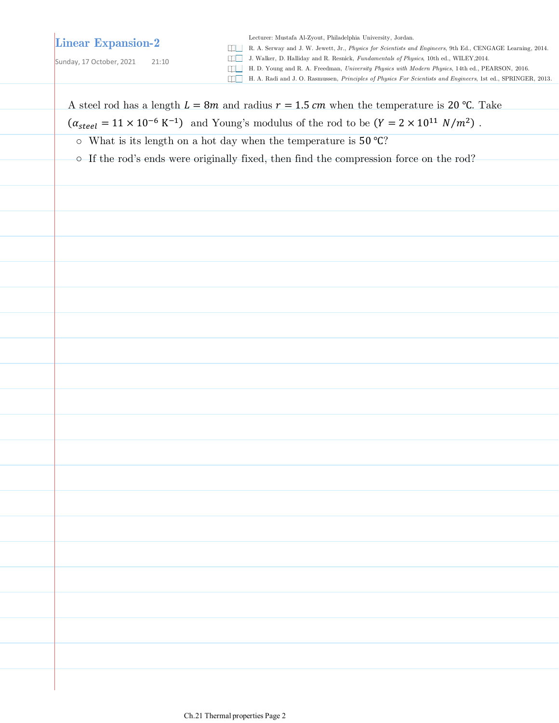## **Linear Expansion-2**

Lecturer: Mustafa Al-Zyout, Philadelphia University, Jordan.

R. A. Serway and J. W. Jewett, Jr., *Physics for Scientists and Engineers*, 9th Ed., CENGAGE Learning, 2014.

Sunday, 17 October, 2021 21:10

J. Walker, D. Halliday and R. Resnick, *Fundamentals of Physics*, 10th ed., WILEY,2014.

- H. D. Young and R. A. Freedman, *University Physics with Modern Physics*, 14th ed., PEARSON, 2016.
- H. A. Radi and J. O. Rasmussen, *Principles of Physics For Scientists and Engineers*, 1st ed., SPRINGER, 2013.

A steel rod has a length  $L = 8m$  and radius  $r = 1.5$  cm when the temperature is 20 °C. Take  $(\alpha_{\text{steel}} = 11 \times 10^{-6} \text{ K}^{-1})$  and Young's modulus of the rod to be  $(Y = 2 \times 10^{11} \text{ N/m}^2)$ .

- What is its length on a hot day when the temperature is 50 ℃?
- $\circ$  If the rod's ends were originally fixed, then find the compression force on the rod?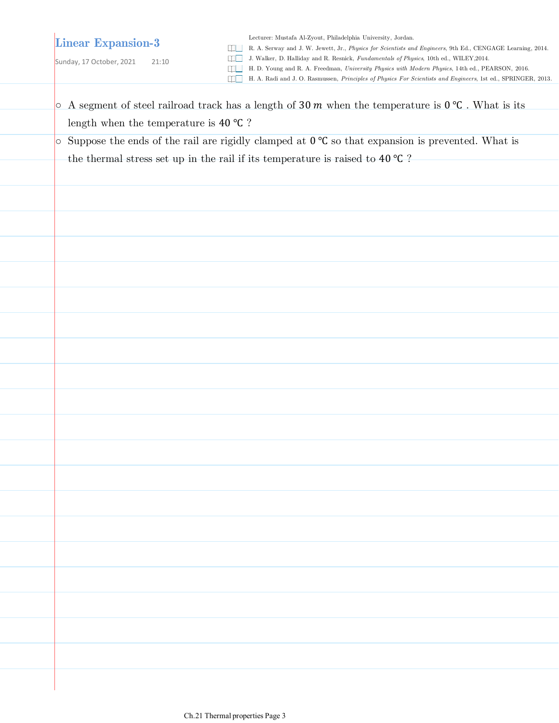## **Linear Expansion-3**

Sunday, 17 October, 2021 21:10

Lecturer: Mustafa Al-Zyout, Philadelphia University, Jordan.

R. A. Serway and J. W. Jewett, Jr., *Physics for Scientists and Engineers*, 9th Ed., CENGAGE Learning, 2014.

J. Walker, D. Halliday and R. Resnick, *Fundamentals of Physics*, 10th ed., WILEY,2014.

H. D. Young and R. A. Freedman, *University Physics with Modern Physics*, 14th ed., PEARSON, 2016.

H. A. Radi and J. O. Rasmussen, *Principles of Physics For Scientists and Engineers*, 1st ed., SPRINGER, 2013.

 $\circ$  A segment of steel railroad track has a length of 30  $m$  when the temperature is 0 °C. What is its length when the temperature is 40 ℃ ?  $\circ$  Suppose the ends of the rail are rigidly clamped at  $0^{\circ}C$  so that expansion is prevented. What is the thermal stress set up in the rail if its temperature is raised to 40 ℃ ?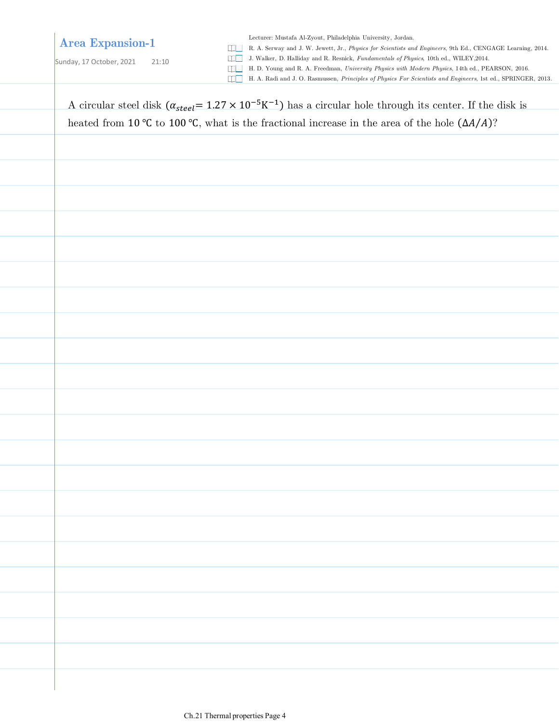## **Area Expansion-1**

Lecturer: Mustafa Al-Zyout, Philadelphia University, Jordan.

R. A. Serway and J. W. Jewett, Jr., *Physics for Scientists and Engineers*, 9th Ed., CENGAGE Learning, 2014.

Sunday, 17 October, 2021 21:10

J. Walker, D. Halliday and R. Resnick, *Fundamentals of Physics*, 10th ed., WILEY,2014.

H. D. Young and R. A. Freedman, *University Physics with Modern Physics*, 14th ed., PEARSON, 2016.

H. A. Radi and J. O. Rasmussen, *Principles of Physics For Scientists and Engineers*, 1st ed., SPRINGER, 2013.

A circular steel disk  $(\alpha_{steel} = 1.27 \times 10^{-5} K^{-1})$  has a circular hole through its center. If the disk is heated from 10 °C to 100 °C, what is the fractional increase in the area of the hole  $(\Delta A/A)$ ?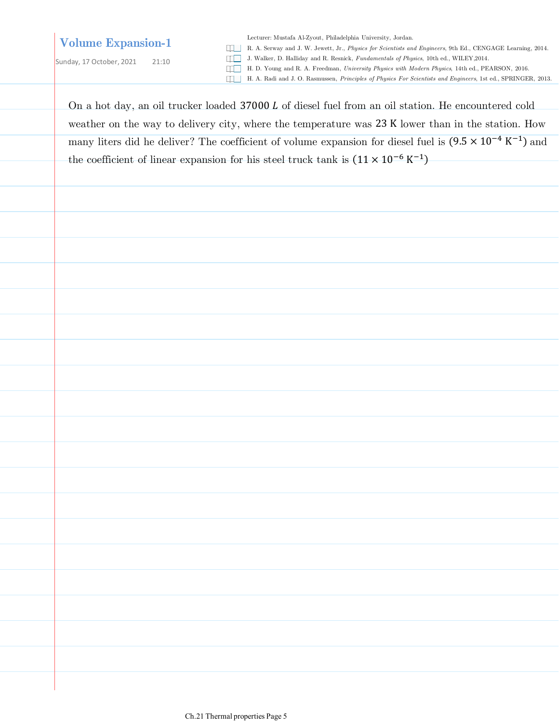## **Volume Expansion-1**

Sunday, 17 October, 2021 21:10

Lecturer: Mustafa Al-Zyout, Philadelphia University, Jordan.

R. A. Serway and J. W. Jewett, Jr., *Physics for Scientists and Engineers*, 9th Ed., CENGAGE Learning, 2014.

J. Walker, D. Halliday and R. Resnick, *Fundamentals of Physics*, 10th ed., WILEY,2014.

H. D. Young and R. A. Freedman, *University Physics with Modern Physics*, 14th ed., PEARSON, 2016.

H. A. Radi and J. O. Rasmussen, *Principles of Physics For Scientists and Engineers*, 1st ed., SPRINGER, 2013.

On a hot day, an oil trucker loaded 37000 L of diesel fuel from an oil station. He encountered cold weather on the way to delivery city, where the temperature was 23 K lower than in the station. How many liters did he deliver? The coefficient of volume expansion for diesel fuel is  $(9.5 \times 10^{-4} \text{ K}^{-1})$  and the coefficient of linear expansion for his steel truck tank is  $(11 \times 10^{-6} \text{ K}^{-1})$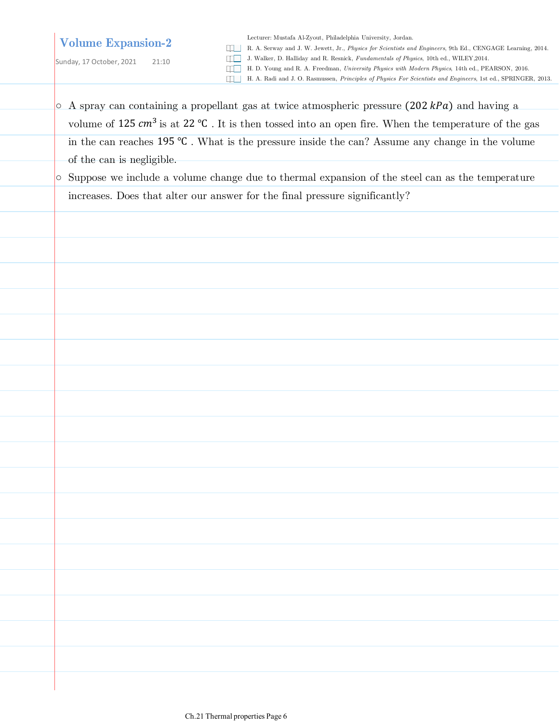## **Volume Expansion-2**

Lecturer: Mustafa Al-Zyout, Philadelphia University, Jordan.

R. A. Serway and J. W. Jewett, Jr., *Physics for Scientists and Engineers*, 9th Ed., CENGAGE Learning, 2014.

J. Walker, D. Halliday and R. Resnick, *Fundamentals of Physics*, 10th ed., WILEY,2014.

- H. D. Young and R. A. Freedman, *University Physics with Modern Physics*, 14th ed., PEARSON, 2016.
- H. A. Radi and J. O. Rasmussen, *Principles of Physics For Scientists and Engineers*, 1st ed., SPRINGER, 2013.
- $\circ$  A spray can containing a propellant gas at twice atmospheric pressure (202 kPa) and having a volume of 125  $cm^3$  is at 22 °C. It is then tossed into an open fire. When the temperature of the gas in the can reaches 195 ℃ . What is the pressure inside the can? Assume any change in the volume of the can is negligible.
- Suppose we include a volume change due to thermal expansion of the steel can as the temperature increases. Does that alter our answer for the final pressure significantly?

Sunday, 17 October, 2021 21:10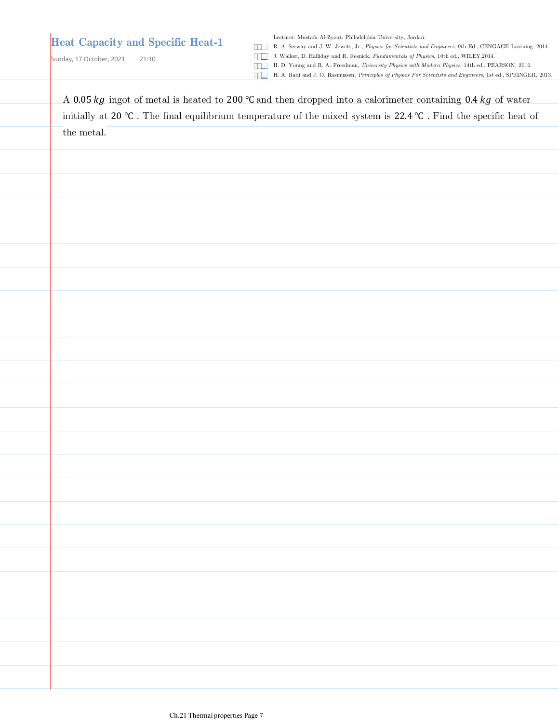Sunday, 17 October, 2021 21:10

Lecturer: Mustafa Al-Zyout, Philadelphia University, Jordan.

R. A. Serway and J. W. Jewett, Jr., *Physics for Scientists and Engineers*, 9th Ed., CENGAGE Learning, 2014.

J. Walker, D. Halliday and R. Resnick, *Fundamentals of Physics*, 10th ed., WILEY,2014.

H. D. Young and R. A. Freedman, *University Physics with Modern Physics*, 14th ed., PEARSON, 2016.

| A 0.05 kg ingot of metal is heated to 200 °C and then dropped into a calorimeter containing 0.4 kg of water     |  |  |  |  |  |  |
|-----------------------------------------------------------------------------------------------------------------|--|--|--|--|--|--|
| initially at 20 °C. The final equilibrium temperature of the mixed system is 22.4 °C. Find the specific heat of |  |  |  |  |  |  |
| the metal.                                                                                                      |  |  |  |  |  |  |
|                                                                                                                 |  |  |  |  |  |  |
|                                                                                                                 |  |  |  |  |  |  |
|                                                                                                                 |  |  |  |  |  |  |
|                                                                                                                 |  |  |  |  |  |  |
|                                                                                                                 |  |  |  |  |  |  |
|                                                                                                                 |  |  |  |  |  |  |
|                                                                                                                 |  |  |  |  |  |  |
|                                                                                                                 |  |  |  |  |  |  |
|                                                                                                                 |  |  |  |  |  |  |
|                                                                                                                 |  |  |  |  |  |  |
|                                                                                                                 |  |  |  |  |  |  |
|                                                                                                                 |  |  |  |  |  |  |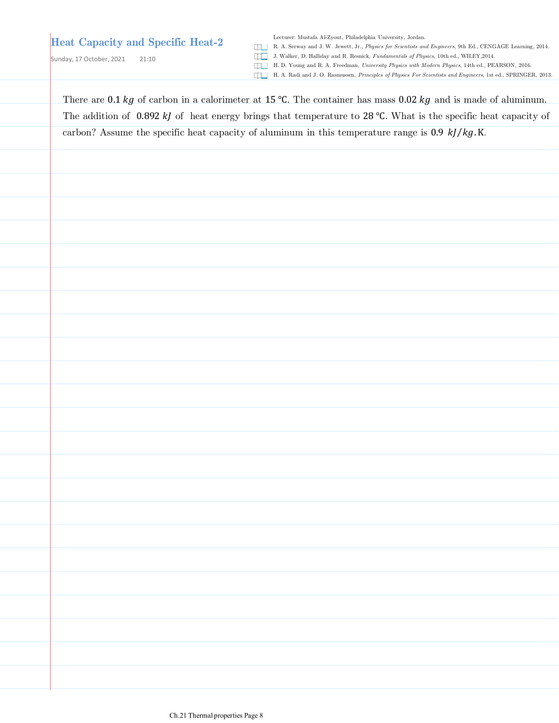Sunday, 17 October, 2021 21:10

Lecturer: Mustafa Al-Zyout, Philadelphia University, Jordan.

R. A. Serway and J. W. Jewett, Jr., *Physics for Scientists and Engineers*, 9th Ed., CENGAGE Learning, 2014.

J. Walker, D. Halliday and R. Resnick, *Fundamentals of Physics*, 10th ed., WILEY,2014.

H. D. Young and R. A. Freedman, *University Physics with Modern Physics*, 14th ed., PEARSON, 2016.

H. A. Radi and J. O. Rasmussen, *Principles of Physics For Scientists and Engineers*, 1st ed., SPRINGER, 2013.

There are 0.1 kg of carbon in a calorimeter at 15 °C. The container has mass 0.02 kg and is made of aluminum. The addition of 0.892 kJ of heat energy brings that temperature to 28 °C. What is the specific heat capacity of carbon? Assume the specific heat capacity of aluminum in this temperature range is  $0.9 \; kJ/kg.K$ .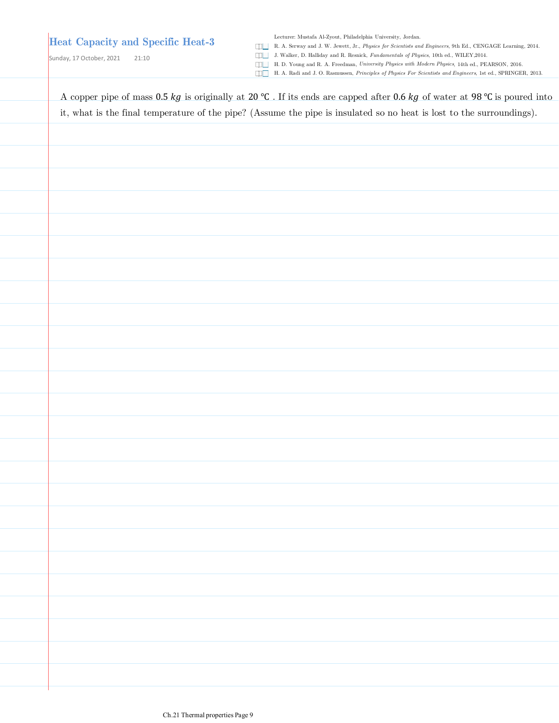Lecturer: Mustafa Al-Zyout, Philadelphia University, Jordan.

R. A. Serway and J. W. Jewett, Jr., *Physics for Scientists and Engineers*, 9th Ed., CENGAGE Learning, 2014.

Sunday, 17 October, 2021 21:10

J. Walker, D. Halliday and R. Resnick, *Fundamentals of Physics*, 10th ed., WILEY,2014.

H. D. Young and R. A. Freedman, *University Physics with Modern Physics*, 14th ed., PEARSON, 2016. H. A. Radi and J. O. Rasmussen, *Principles of Physics For Scientists and Engineers*, 1st ed., SPRINGER, 2013.

A copper pipe of mass  $0.5 kg$  is originally at 20 °C. If its ends are capped after 0.6 kg of water at 98 °C is poured into it, what is the final temperature of the pipe? (Assume the pipe is insulated so no heat is lost to the surroundings).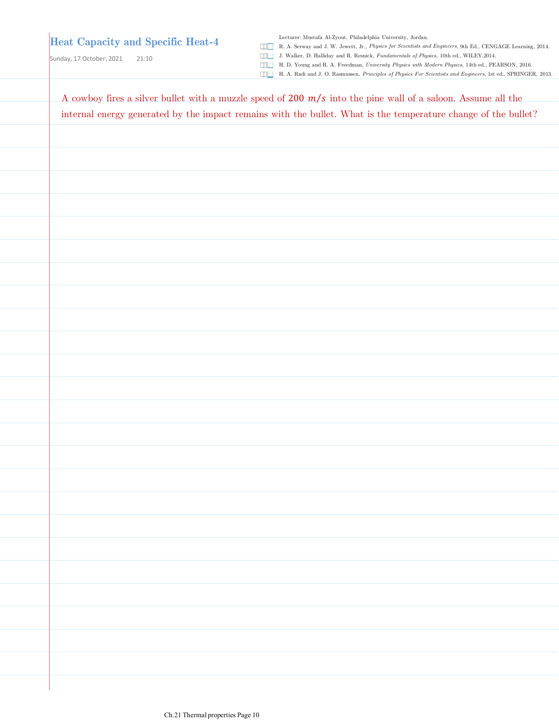Lecturer: Mustafa Al-Zyout, Philadelphia University, Jordan.

R. A. Serway and J. W. Jewett, Jr., *Physics for Scientists and Engineers*, 9th Ed., CENGAGE Learning, 2014.

Sunday, 17 October, 2021 21:10

J. Walker, D. Halliday and R. Resnick, *Fundamentals of Physics*, 10th ed., WILEY,2014. H. D. Young and R. A. Freedman, *University Physics with Modern Physics*, 14th ed., PEARSON, 2016.

| internal energy generated by the impact remains with the bullet. What is the temperature change of the bullet? |  |  |
|----------------------------------------------------------------------------------------------------------------|--|--|
|                                                                                                                |  |  |
|                                                                                                                |  |  |
|                                                                                                                |  |  |
|                                                                                                                |  |  |
|                                                                                                                |  |  |
|                                                                                                                |  |  |
|                                                                                                                |  |  |
|                                                                                                                |  |  |
|                                                                                                                |  |  |
|                                                                                                                |  |  |
|                                                                                                                |  |  |
|                                                                                                                |  |  |
|                                                                                                                |  |  |
|                                                                                                                |  |  |
|                                                                                                                |  |  |
|                                                                                                                |  |  |
|                                                                                                                |  |  |
|                                                                                                                |  |  |
|                                                                                                                |  |  |
|                                                                                                                |  |  |
|                                                                                                                |  |  |
|                                                                                                                |  |  |
|                                                                                                                |  |  |
|                                                                                                                |  |  |
|                                                                                                                |  |  |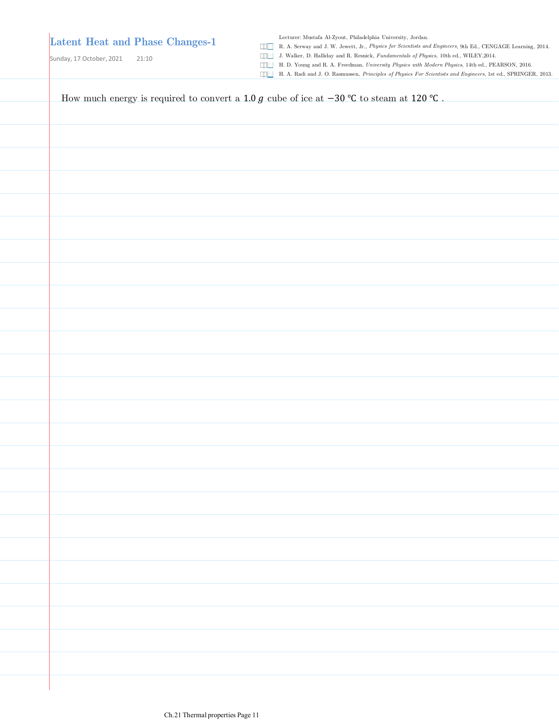Sunday, 17 October, 2021 21:10

Lecturer: Mustafa Al-Zyout, Philadelphia University, Jordan.

R. A. Serway and J. W. Jewett, Jr., *Physics for Scientists and Engineers*, 9th Ed., CENGAGE Learning, 2014.

J. Walker, D. Halliday and R. Resnick, *Fundamentals of Physics*, 10th ed., WILEY,2014.

H. D. Young and R. A. Freedman, *University Physics with Modern Physics*, 14th ed., PEARSON, 2016.

H. A. Radi and J. O. Rasmussen, *Principles of Physics For Scientists and Engineers*, 1st ed., SPRINGER, 2013.

How much energy is required to convert a 1.0  $g$  cube of ice at −30 °C to steam at 120 °C.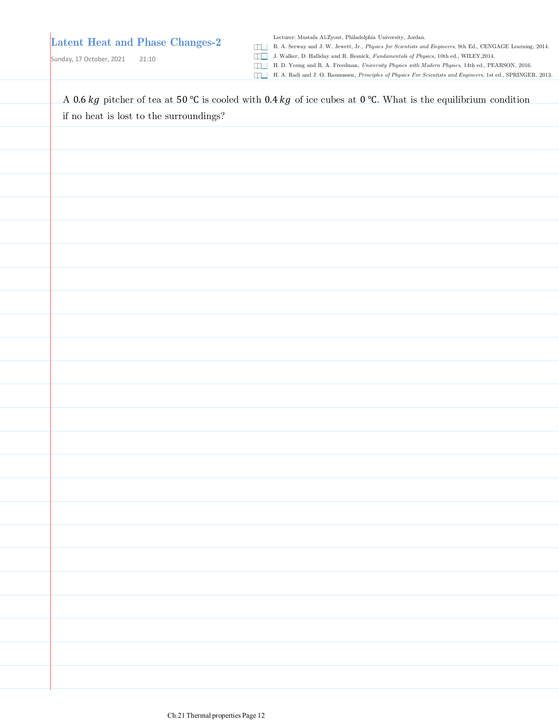Lecturer: Mustafa Al-Zyout, Philadelphia University, Jordan.

R. A. Serway and J. W. Jewett, Jr., *Physics for Scientists and Engineers*, 9th Ed., CENGAGE Learning, 2014.

Sunday, 17 October, 2021 21:10

J. Walker, D. Halliday and R. Resnick, *Fundamentals of Physics*, 10th ed., WILEY,2014. H. D. Young and R. A. Freedman, *University Physics with Modern Physics*, 14th ed., PEARSON, 2016.

| if no heat is lost to the surroundings? $\,$ |  |  |
|----------------------------------------------|--|--|
|                                              |  |  |
|                                              |  |  |
|                                              |  |  |
|                                              |  |  |
|                                              |  |  |
|                                              |  |  |
|                                              |  |  |
|                                              |  |  |
|                                              |  |  |
|                                              |  |  |
|                                              |  |  |
|                                              |  |  |
|                                              |  |  |
|                                              |  |  |
|                                              |  |  |
|                                              |  |  |
|                                              |  |  |
|                                              |  |  |
|                                              |  |  |
|                                              |  |  |
|                                              |  |  |
|                                              |  |  |
|                                              |  |  |
|                                              |  |  |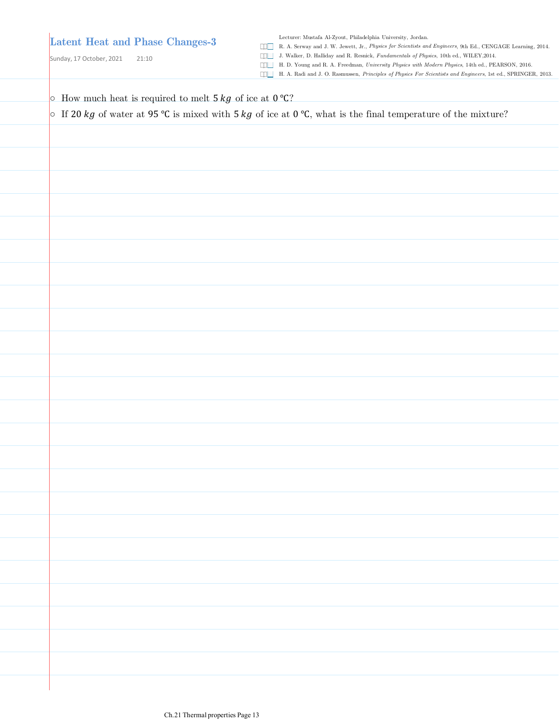Sunday, 17 October, 2021 21:10

Lecturer: Mustafa Al-Zyout, Philadelphia University, Jordan.

- R. A. Serway and J. W. Jewett, Jr., *Physics for Scientists and Engineers*, 9th Ed., CENGAGE Learning, 2014.
- J. Walker, D. Halliday and R. Resnick, *Fundamentals of Physics*, 10th ed., WILEY,2014.
- H. D. Young and R. A. Freedman, *University Physics with Modern Physics*, 14th ed., PEARSON, 2016.
- H. A. Radi and J. O. Rasmussen, *Principles of Physics For Scientists and Engineers*, 1st ed., SPRINGER, 2013.

 $\circ$  How much heat is required to melt 5 *kg* of ice at 0 °C?

**O** If 20 kg of water at 95 °C is mixed with 5 kg of ice at 0 °C, what is the final temperature of the mixture?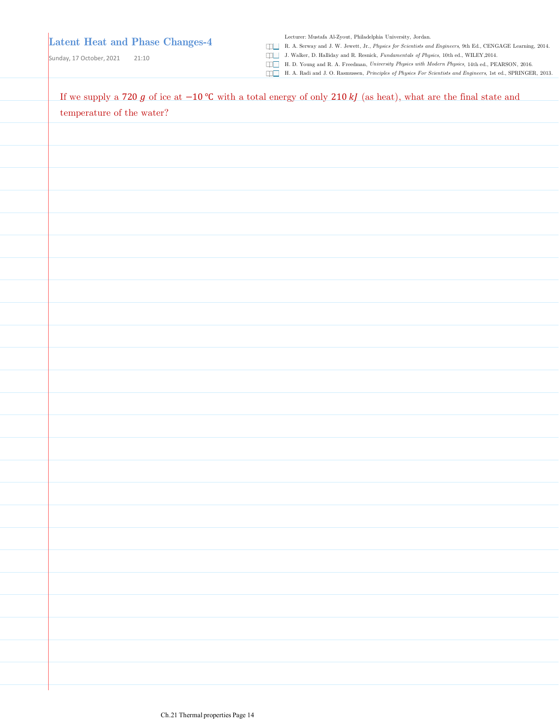Lecturer: Mustafa Al-Zyout, Philadelphia University, Jordan.

R. A. Serway and J. W. Jewett, Jr., *Physics for Scientists and Engineers*, 9th Ed., CENGAGE Learning, 2014.

Sunday, 17 October, 2021 21:10

J. Walker, D. Halliday and R. Resnick, *Fundamentals of Physics*, 10th ed., WILEY,2014.

H. D. Young and R. A. Freedman, *University Physics with Modern Physics*, 14th ed., PEARSON, 2016. H. A. Radi and J. O. Rasmussen, *Principles of Physics For Scientists and Engineers*, 1st ed., SPRINGER, 2013.

| If we supply a 720 g of ice at $-10$ °C with a total energy of only 210 kJ (as heat), what are the final state and |
|--------------------------------------------------------------------------------------------------------------------|
| $\!$ temperature of the water?                                                                                     |
|                                                                                                                    |
|                                                                                                                    |
|                                                                                                                    |
|                                                                                                                    |
|                                                                                                                    |
|                                                                                                                    |
|                                                                                                                    |
|                                                                                                                    |
|                                                                                                                    |
|                                                                                                                    |
|                                                                                                                    |
|                                                                                                                    |
|                                                                                                                    |
|                                                                                                                    |
|                                                                                                                    |
|                                                                                                                    |
|                                                                                                                    |
|                                                                                                                    |
|                                                                                                                    |
|                                                                                                                    |
|                                                                                                                    |
|                                                                                                                    |
|                                                                                                                    |
|                                                                                                                    |
|                                                                                                                    |
|                                                                                                                    |
|                                                                                                                    |
|                                                                                                                    |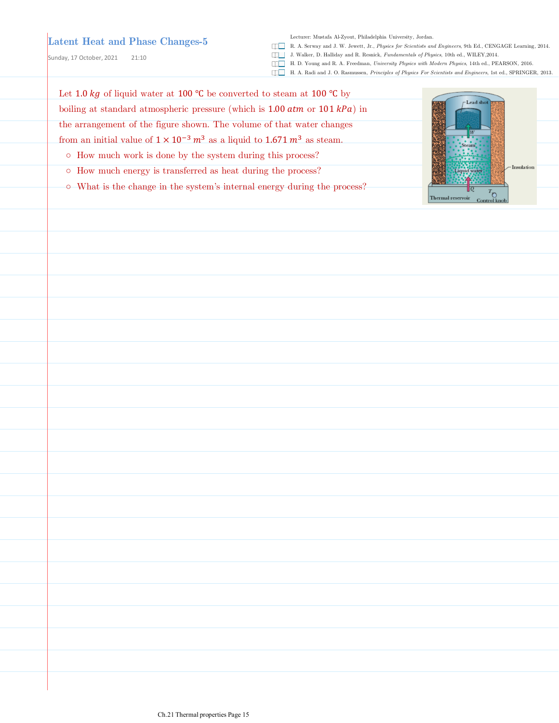Sunday, 17 October, 2021 21:10

Lecturer: Mustafa Al-Zyout, Philadelphia University, Jordan.

- R. A. Serway and J. W. Jewett, Jr., *Physics for Scientists and Engineers*, 9th Ed., CENGAGE Learning, 2014.
- J. Walker, D. Halliday and R. Resnick, *Fundamentals of Physics*, 10th ed., WILEY,2014.
- H. D. Young and R. A. Freedman, *University Physics with Modern Physics*, 14th ed., PEARSON, 2016.
- H. A. Radi and J. O. Rasmussen, *Principles of Physics For Scientists and Engineers*, 1st ed., SPRINGER, 2013.